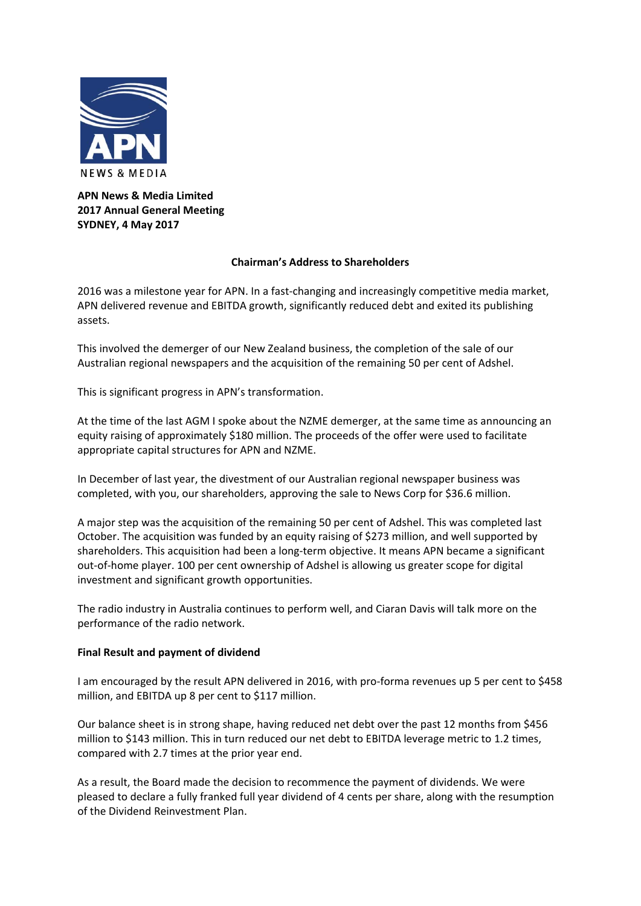

# **APN News & Media Limited 2017 Annual General Meeting SYDNEY, 4 May 2017**

# **Chairman's Address to Shareholders**

2016 was a milestone year for APN. In a fast-changing and increasingly competitive media market, APN delivered revenue and EBITDA growth, significantly reduced debt and exited its publishing assets.

This involved the demerger of our New Zealand business, the completion of the sale of our Australian regional newspapers and the acquisition of the remaining 50 per cent of Adshel.

This is significant progress in APN's transformation.

At the time of the last AGM I spoke about the NZME demerger, at the same time as announcing an equity raising of approximately \$180 million. The proceeds of the offer were used to facilitate appropriate capital structures for APN and NZME.

In December of last year, the divestment of our Australian regional newspaper business was completed, with you, our shareholders, approving the sale to News Corp for \$36.6 million.

A major step was the acquisition of the remaining 50 per cent of Adshel. This was completed last October. The acquisition was funded by an equity raising of \$273 million, and well supported by shareholders. This acquisition had been a long-term objective. It means APN became a significant out‐of‐home player. 100 per cent ownership of Adshel is allowing us greater scope for digital investment and significant growth opportunities.

The radio industry in Australia continues to perform well, and Ciaran Davis will talk more on the performance of the radio network.

# **Final Result and payment of dividend**

I am encouraged by the result APN delivered in 2016, with pro‐forma revenues up 5 per cent to \$458 million, and EBITDA up 8 per cent to \$117 million.

Our balance sheet is in strong shape, having reduced net debt over the past 12 months from \$456 million to \$143 million. This in turn reduced our net debt to EBITDA leverage metric to 1.2 times, compared with 2.7 times at the prior year end.

As a result, the Board made the decision to recommence the payment of dividends. We were pleased to declare a fully franked full year dividend of 4 cents per share, along with the resumption of the Dividend Reinvestment Plan.